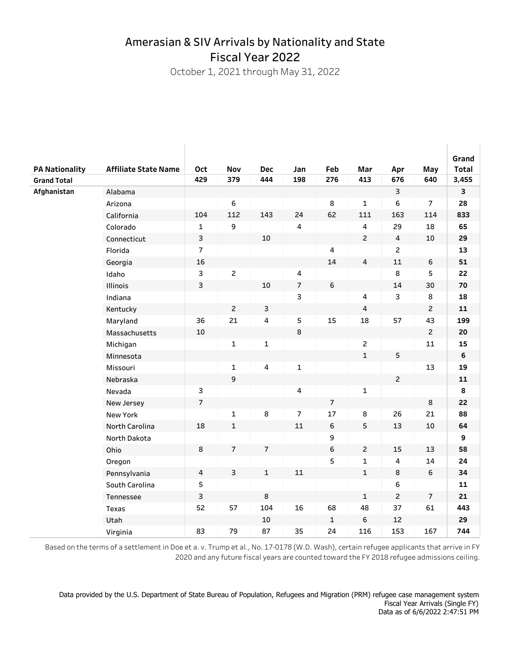## Amerasian & SIV Arrivals by Nationality and State Fiscal Year 2022

October 1, 2021 through May 31, 2022

 $\begin{array}{c} \hline \end{array}$ 

 $\mathbb{L}$ 

|                       |                             |                |                |                         |                         |                |                |                         |                | Grand            |
|-----------------------|-----------------------------|----------------|----------------|-------------------------|-------------------------|----------------|----------------|-------------------------|----------------|------------------|
| <b>PA Nationality</b> | <b>Affiliate State Name</b> | Oct            | Nov            | <b>Dec</b>              | Jan                     | Feb            | Mar            | Apr                     | May            | Total            |
| <b>Grand Total</b>    |                             | 429            | 379            | 444                     | 198                     | 276            | 413            | 676                     | 640            | 3,455            |
| Afghanistan           | Alabama                     |                |                |                         |                         |                |                | 3                       |                | 3                |
|                       | Arizona                     |                | 6              |                         |                         | 8              | $\mathbf{1}$   | 6                       | $\overline{7}$ | 28               |
|                       | California                  | 104            | 112            | 143                     | 24                      | 62             | 111            | 163                     | 114            | 833              |
|                       | Colorado                    | $\mathbf{1}$   | 9              |                         | $\overline{\mathbf{4}}$ |                | $\overline{4}$ | 29                      | 18             | 65               |
|                       | Connecticut                 | 3              |                | 10                      |                         |                | $\overline{c}$ | $\overline{\mathbf{4}}$ | 10             | 29               |
|                       | Florida                     | $\overline{7}$ |                |                         |                         | 4              |                | $\overline{2}$          |                | 13               |
|                       | Georgia                     | 16             |                |                         |                         | 14             | $\pmb{4}$      | $11\,$                  | $\,6\,$        | 51               |
|                       | Idaho                       | 3              | $\overline{c}$ |                         | $\overline{4}$          |                |                | 8                       | 5              | 22               |
|                       | Illinois                    | $\mathsf{3}$   |                | 10                      | $\overline{7}$          | 6              |                | 14                      | 30             | 70               |
|                       | Indiana                     |                |                |                         | 3                       |                | $\overline{4}$ | 3                       | $\bf 8$        | 18               |
|                       | Kentucky                    |                | $\overline{c}$ | $\mathsf 3$             |                         |                | $\overline{4}$ |                         | $\overline{c}$ | 11               |
|                       | Maryland                    | 36             | 21             | 4                       | 5                       | 15             | 18             | 57                      | 43             | 199              |
|                       | Massachusetts               | 10             |                |                         | $\bf 8$                 |                |                |                         | $\overline{c}$ | 20               |
|                       | Michigan                    |                | $\mathbf 1$    | $\mathbf 1$             |                         |                | $\overline{2}$ |                         | 11             | 15               |
|                       | Minnesota                   |                |                |                         |                         |                | $\mathbf{1}$   | 5                       |                | $\boldsymbol{6}$ |
|                       | Missouri                    |                | $\mathbf{1}$   | $\overline{\mathbf{4}}$ | $\mathbf 1$             |                |                |                         | 13             | 19               |
|                       | Nebraska                    |                | 9              |                         |                         |                |                | $\overline{c}$          |                | ${\bf 11}$       |
|                       | Nevada                      | 3              |                |                         | $\overline{\mathbf{4}}$ |                | $\mathbf 1$    |                         |                | 8                |
|                       | New Jersey                  | $\overline{7}$ |                |                         |                         | $\overline{7}$ |                |                         | 8              | 22               |
|                       | New York                    |                | $\mathbf{1}$   | 8                       | $\overline{7}$          | 17             | $\bf 8$        | 26                      | 21             | 88               |
|                       | North Carolina              | 18             | $\mathbf 1$    |                         | 11                      | 6              | 5              | 13                      | 10             | 64               |
|                       | North Dakota                |                |                |                         |                         | 9              |                |                         |                | 9                |
|                       | Ohio                        | $\bf 8$        | $\overline{7}$ | $\overline{7}$          |                         | 6              | $\overline{2}$ | 15                      | 13             | 58               |
|                       | Oregon                      |                |                |                         |                         | 5              | $\mathbf 1$    | $\overline{\mathbf{4}}$ | 14             | 24               |
|                       | Pennsylvania                | 4              | 3              | $\mathbf{1}$            | 11                      |                | $\mathbf{1}$   | 8                       | 6              | 34               |
|                       | South Carolina              | $\mathsf S$    |                |                         |                         |                |                | 6                       |                | ${\bf 11}$       |
|                       | Tennessee                   | $\mathsf 3$    |                | $\bf 8$                 |                         |                | $\mathbf{1}$   | $\overline{c}$          | $\overline{7}$ | 21               |
|                       | Texas                       | 52             | 57             | 104                     | 16                      | 68             | 48             | 37                      | 61             | 443              |
|                       | Utah                        |                |                | 10                      |                         | $\mathbf{1}$   | $\,$ 6         | 12                      |                | 29               |
|                       | Virginia                    | 83             | 79             | 87                      | 35                      | 24             | 116            | 153                     | 167            | 744              |

Based on the terms of a settlement in Doe et a. v. Trump et al., No. 17-0178 (W.D. Wash), certain refugee applicants that arrive in FY 2020 and any future fiscal years are counted toward the FY 2018 refugee admissions ceiling.

Data provided by the U.S. Department of State Bureau of Population, Refugees and Migration (PRM) refugee case management system Fiscal Year Arrivals (Single FY) Data as of 6/6/2022 2:47:51 PM